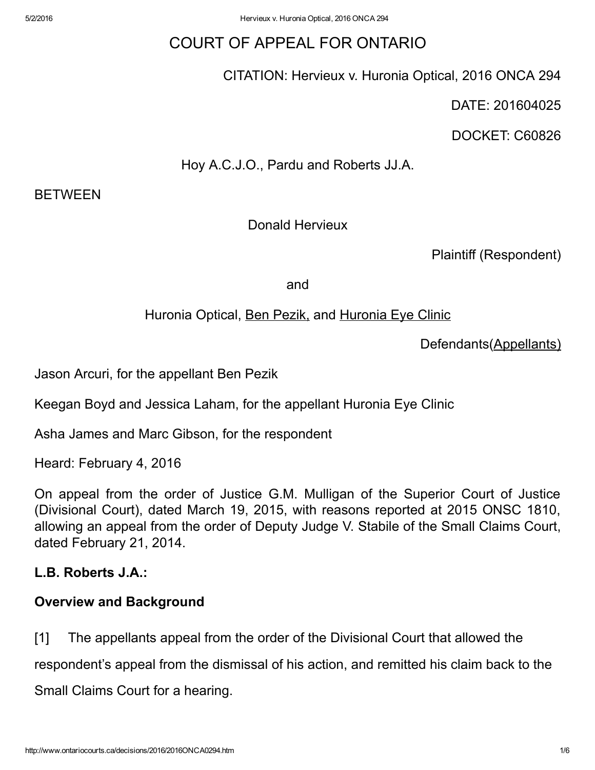# COURT OF APPEAL FOR ONTARIO

CITATION: Hervieux v. Huronia Optical, 2016 ONCA 294

DATE: 201604025

DOCKET: C60826

Hoy A.C.J.O., Pardu and Roberts JJ.A.

BETWEEN

## Donald Hervieux

Plaintiff (Respondent)

and

### Huronia Optical, **Ben Pezik**, and Huronia Eye Clinic

Defendants(Appellants)

Jason Arcuri, for the appellant Ben Pezik

Keegan Boyd and Jessica Laham, for the appellant Huronia Eye Clinic

Asha James and Marc Gibson, for the respondent

Heard: February 4, 2016

On appeal from the order of Justice G.M. Mulligan of the Superior Court of Justice (Divisional Court), dated March 19, 2015, with reasons reported at 2015 ONSC 1810, allowing an appeal from the order of Deputy Judge V. Stabile of the Small Claims Court, dated February 21, 2014.

### L.B. Roberts J.A.:

### Overview and Background

[1] The appellants appeal from the order of the Divisional Court that allowed the

respondent's appeal from the dismissal of his action, and remitted his claim back to the

Small Claims Court for a hearing.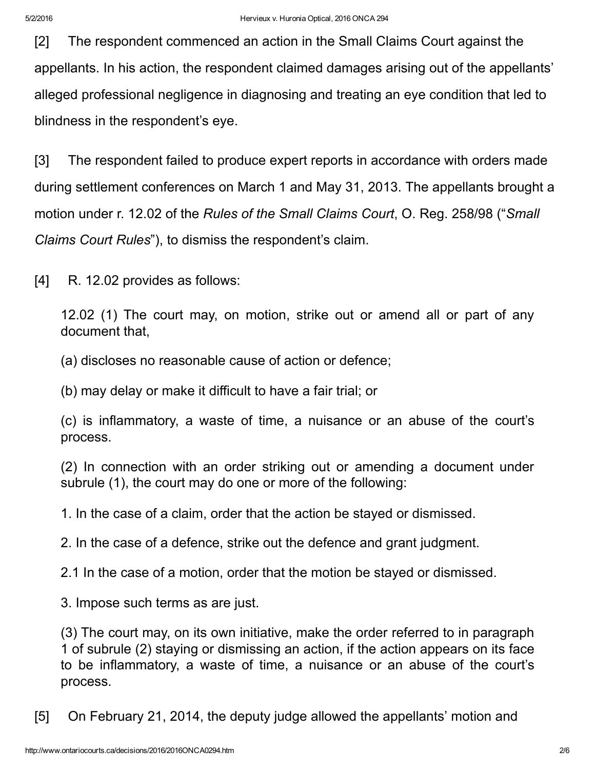[2] The respondent commenced an action in the Small Claims Court against the appellants. In his action, the respondent claimed damages arising out of the appellants' alleged professional negligence in diagnosing and treating an eye condition that led to blindness in the respondent's eye.

[3] The respondent failed to produce expert reports in accordance with orders made during settlement conferences on March 1 and May 31, 2013. The appellants brought a motion under r. 12.02 of the *Rules of the Small Claims Court*, O. Reg. 258/98 ("*Small Claims Court Rules*"), to dismiss the respondent's claim.

[4] R. 12.02 provides as follows:

12.02 (1) The court may, on motion, strike out or amend all or part of any document that,

(a) discloses no reasonable cause of action or defence;

(b) may delay or make it difficult to have a fair trial; or

(c) is inflammatory, a waste of time, a nuisance or an abuse of the court's process.

(2) In connection with an order striking out or amending a document under subrule (1), the court may do one or more of the following:

1. In the case of a claim, order that the action be stayed or dismissed.

2. In the case of a defence, strike out the defence and grant judgment.

2.1 In the case of a motion, order that the motion be stayed or dismissed.

3. Impose such terms as are just.

(3) The court may, on its own initiative, make the order referred to in paragraph 1 of subrule (2) staying or dismissing an action, if the action appears on its face to be inflammatory, a waste of time, a nuisance or an abuse of the court's process.

[5] On February 21, 2014, the deputy judge allowed the appellants' motion and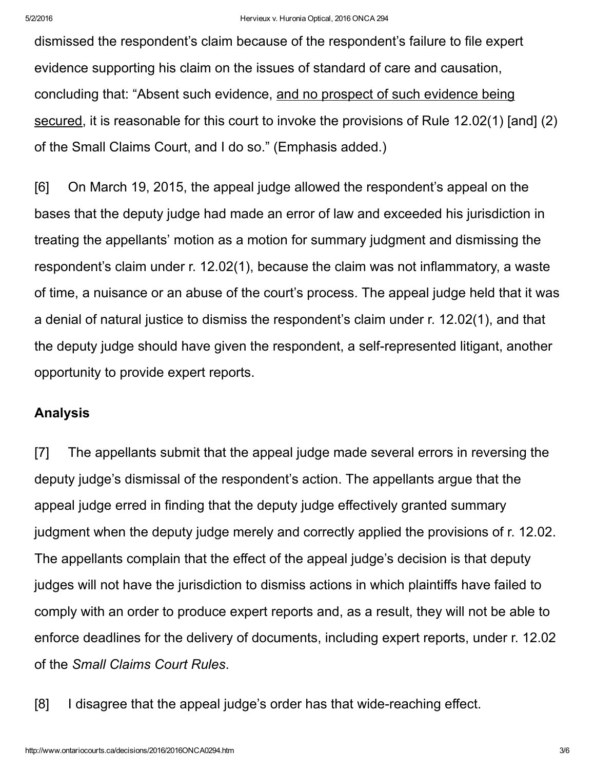dismissed the respondent's claim because of the respondent's failure to file expert evidence supporting his claim on the issues of standard of care and causation, concluding that: "Absent such evidence, and no prospect of such evidence being secured, it is reasonable for this court to invoke the provisions of Rule 12.02(1) [and] (2) of the Small Claims Court, and I do so." (Emphasis added.)

[6] On March 19, 2015, the appeal judge allowed the respondent's appeal on the bases that the deputy judge had made an error of law and exceeded his jurisdiction in treating the appellants' motion as a motion for summary judgment and dismissing the respondent's claim under r. 12.02(1), because the claim was not inflammatory, a waste of time, a nuisance or an abuse of the court's process. The appeal judge held that it was a denial of natural justice to dismiss the respondent's claim under r. 12.02(1), and that the deputy judge should have given the respondent, a self-represented litigant, another opportunity to provide expert reports.

#### Analysis

[7] The appellants submit that the appeal judge made several errors in reversing the deputy judge's dismissal of the respondent's action. The appellants argue that the appeal judge erred in finding that the deputy judge effectively granted summary judgment when the deputy judge merely and correctly applied the provisions of r. 12.02. The appellants complain that the effect of the appeal judge's decision is that deputy judges will not have the jurisdiction to dismiss actions in which plaintiffs have failed to comply with an order to produce expert reports and, as a result, they will not be able to enforce deadlines for the delivery of documents, including expert reports, under r. 12.02 of the *Small Claims Court Rules*.

[8] I disagree that the appeal judge's order has that wide-reaching effect.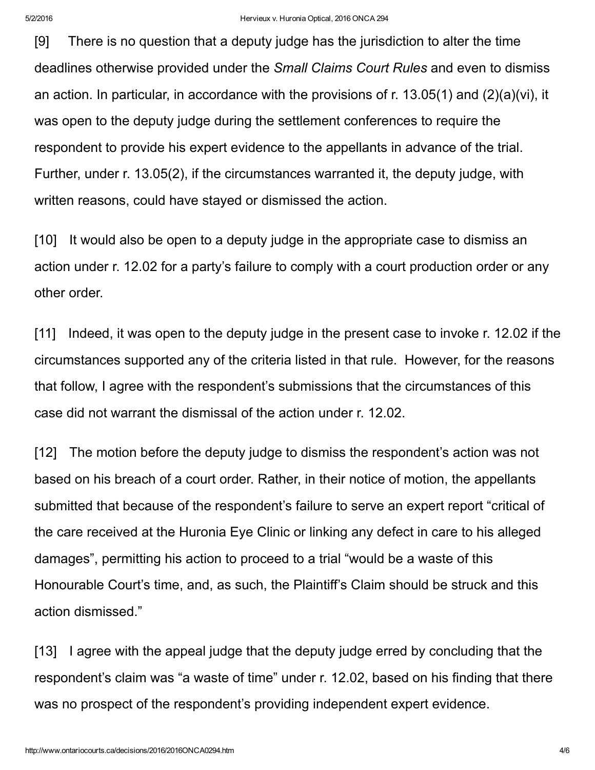[9] There is no question that a deputy judge has the jurisdiction to alter the time deadlines otherwise provided under the *Small Claims Court Rules* and even to dismiss an action. In particular, in accordance with the provisions of r. 13.05(1) and (2)(a)(vi), it was open to the deputy judge during the settlement conferences to require the respondent to provide his expert evidence to the appellants in advance of the trial. Further, under r. 13.05(2), if the circumstances warranted it, the deputy judge, with written reasons, could have stayed or dismissed the action.

[10] It would also be open to a deputy judge in the appropriate case to dismiss an action under r. 12.02 for a party's failure to comply with a court production order or any other order.

[11] Indeed, it was open to the deputy judge in the present case to invoke r. 12.02 if the circumstances supported any of the criteria listed in that rule. However, for the reasons that follow, I agree with the respondent's submissions that the circumstances of this case did not warrant the dismissal of the action under r. 12.02.

[12] The motion before the deputy judge to dismiss the respondent's action was not based on his breach of a court order. Rather, in their notice of motion, the appellants submitted that because of the respondent's failure to serve an expert report "critical of the care received at the Huronia Eye Clinic or linking any defect in care to his alleged damages", permitting his action to proceed to a trial "would be a waste of this Honourable Court's time, and, as such, the Plaintiff's Claim should be struck and this action dismissed."

[13] I agree with the appeal judge that the deputy judge erred by concluding that the respondent's claim was "a waste of time" under r. 12.02, based on his finding that there was no prospect of the respondent's providing independent expert evidence.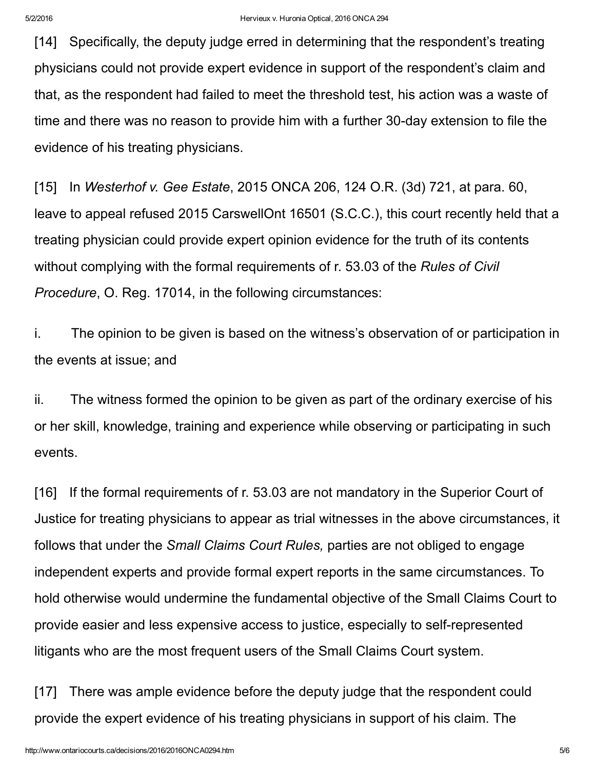[14] Specifically, the deputy judge erred in determining that the respondent's treating physicians could not provide expert evidence in support of the respondent's claim and that, as the respondent had failed to meet the threshold test, his action was a waste of time and there was no reason to provide him with a further 30-day extension to file the evidence of his treating physicians.

[15] In *Westerhof v. Gee Estate*, 2015 ONCA 206, 124 O.R. (3d) 721, at para. 60, leave to appeal refused 2015 CarswellOnt 16501 (S.C.C.), this court recently held that a treating physician could provide expert opinion evidence for the truth of its contents without complying with the formal requirements of r. 53.03 of the *Rules of Civil Procedure*, O. Reg. 17014, in the following circumstances:

i. The opinion to be given is based on the witness's observation of or participation in the events at issue; and

ii. The witness formed the opinion to be given as part of the ordinary exercise of his or her skill, knowledge, training and experience while observing or participating in such events.

[16] If the formal requirements of r. 53.03 are not mandatory in the Superior Court of Justice for treating physicians to appear as trial witnesses in the above circumstances, it follows that under the *Small Claims Court Rules,* parties are not obliged to engage independent experts and provide formal expert reports in the same circumstances. To hold otherwise would undermine the fundamental objective of the Small Claims Court to provide easier and less expensive access to justice, especially to self-represented litigants who are the most frequent users of the Small Claims Court system.

[17] There was ample evidence before the deputy judge that the respondent could provide the expert evidence of his treating physicians in support of his claim. The